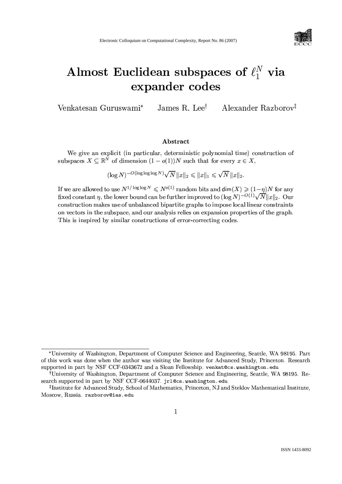

# Almost Euclidean subspaces of  $\ell_1^N$  via expander codes

James R. Lee<sup>†</sup> Alexander Razborov<sup>†</sup> Venkatesan Guruswami\*

# Abstract

We give an explicit (in particular, deterministic polynomial time) construction of subspaces  $X \subseteq \mathbb{R}^N$  of dimension  $(1 - o(1))N$  such that for every  $x \in X$ .

 $(\log N)^{-O(\log \log \log N)} \sqrt{N} ||x||_2 \le ||x||_1 \le \sqrt{N} ||x||_2.$ 

If we are allowed to use  $N^{1/\log \log N} \leq N^{o(1)}$  random bits and  $\dim(X) \geq (1-\eta)N$  for any fixed constant  $\eta$ , the lower bound can be further improved to  $(\log N)^{-O(1)}\sqrt{N}||x||_2$ . Our construction makes use of unbalanced bipartite graphs to impose local linear constraints on vectors in the subspace, and our analysis relies on expansion properties of the graph. This is inspired by similar constructions of error-correcting codes.

<sup>\*</sup>University of Washington, Department of Computer Science and Engineering, Seattle, WA 98195. Part of this work was done when the author was visiting the Institute for Advanced Study, Princeton. Research supported in part by NSF CCF-0343672 and a Sloan Fellowship. venkat@cs.washington.edu

<sup>&</sup>lt;sup>†</sup>University of Washington, Department of Computer Science and Engineering, Seattle, WA 98195. Research supported in part by NSF CCF-0644037. jrl@cs.washington.edu

<sup>&</sup>lt;sup>‡</sup>Institute for Advanced Study, School of Mathematics, Princeton, NJ and Steklov Mathematical Institute, Moscow, Russia. razborov@ias.edu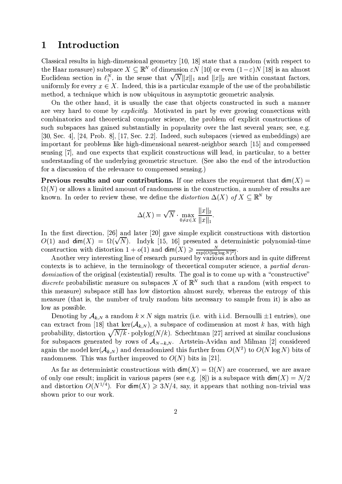# Introduction  $\mathbf 1$

Classical results in high-dimensional geometry [10, 18] state that a random (with respect to the Haar measure) subspace  $X \subseteq \mathbb{R}^N$  of dimension  $\varepsilon N$  [10] or even  $(1-\varepsilon)N$  [18] is an almost Euclidean section in  $\ell_1^N$ , in the sense that  $\sqrt{N}||x||_1$  and  $||x||_2$  are within constant factors, uniformly for every  $x \in X$ . Indeed, this is a particular example of the use of the probabilistic method, a technique which is now ubiquitous in asymptotic geometric analysis.

On the other hand, it is usually the case that objects constructed in such a manner are very hard to come by *explicitly*. Motivated in part by ever growing connections with combinatorics and theoretical computer science, the problem of explicit constructions of such subspaces has gained substantially in popularity over the last several years; see, e.g. [30, Sec. 4], [24, Prob. 8], [17, Sec. 2.2]. Indeed, such subspaces (viewed as embeddings) are important for problems like high-dimensional nearest-neighbor search [15] and compressed sensing [7], and one expects that explicit constructions will lead, in particular, to a better understanding of the underlying geometric structure. (See also the end of the introduction for a discussion of the relevance to compressed sensing.)

**Previous results and our contributions.** If one relaxes the requirement that  $\dim(X)$  =  $\Omega(N)$  or allows a limited amount of randomness in the construction, a number of results are known. In order to review these, we define the *distortion*  $\Delta(X)$  of  $X \subseteq \mathbb{R}^N$  by

$$
\Delta(X) = \sqrt{N} \cdot \max_{0 \neq x \in X} \frac{\|x\|_2}{\|x\|_1}.
$$

In the first direction, [26] and later [20] gave simple explicit constructions with distortion  $O(1)$  and  $\dim(X) = \Omega(\sqrt{N})$ . Indyk [15, 16] presented a deterministic polynomial-time construction with distortion  $1 + o(1)$  and  $\dim(X) \ge \frac{N}{\exp(O(\log \log N)^2)}$ .<br>Another very interesting line of research pursued by various authors and in quite different

contexts is to achieve, in the terminology of theoretical computer science, a partial deran*domization* of the original (existential) results. The goal is to come up with a "constructive" *discrete* probabilistic measure on subspaces X of  $\mathbb{R}^{N}$  such that a random (with respect to this measure) subspace still has low distortion almost surely, whereas the entropy of this measure (that is, the number of truly random bits necessary to sample from it) is also as low as possible.

Denoting by  $A_{k,N}$  a random  $k \times N$  sign matrix (i.e. with i.i.d. Bernoulli  $\pm 1$  entries), one can extract from [18] that ker $(\mathcal{A}_{k,N})$ , a subspace of codimension at most k has, with high probability, distortion  $\sqrt{N/k}$  polylog( $N/k$ ). Schechtman [27] arrived at similar conclusions for subspaces generated by rows of  $A_{N-k,N}$ . Artstein-Avidan and Milman [2] considered again the model ker( $A_{k,N}$ ) and derandomized this further from  $O(N^2)$  to  $O(N \log N)$  bits of randomness. This was further improved to  $O(N)$  bits in [21].

As far as deterministic constructions with  $\dim(X) = \Omega(N)$  are concerned, we are aware of only one result; implicit in various papers (see e.g. [8]) is a subspace with  $\dim(X) = N/2$ and distortion  $O(N^{1/4})$ . For  $\dim(X) \geq 3N/4$ , say, it appears that nothing non-trivial was shown prior to our work.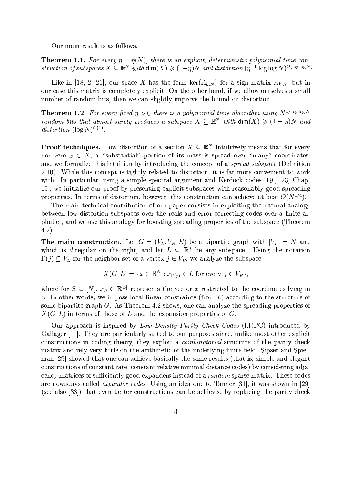Our main result is as follows.

**Theorem 1.1.** For every  $\eta = \eta(N)$ , there is an explicit, deterministic polynomial-time construction of subspaces  $X \subseteq \mathbb{R}^N$  with  $\dim(X) \geq (1-\eta)N$  and distortion  $(\eta^{-1} \log \log N)^{O(\log \log N)}$ .

Like in [18, 2, 21], our space X has the form  $\ker(A_{k,N})$  for a sign matrix  $A_{k,N}$ , but in our case this matrix is completely explicit. On the other hand, if we allow ourselves a small number of random bits, then we can slightly improve the bound on distortion.

**Theorem 1.2.** For every fixed  $\eta > 0$  there is a polynomial time algorithm using  $N^{1/\log \log N}$ random bits that almost surely produces a subspace  $X \subseteq \mathbb{R}^N$  with  $\dim(X) \geq (1 - \eta)N$  and distortion  $(\log N)^{O(1)}$ .

**Proof techniques.** Low distortion of a section  $X \subseteq \mathbb{R}^N$  intuitively means that for every non-zero  $x \in X$ , a "substantial" portion of its mass is spread over "many" coordinates, and we formalize this intuition by introducing the concept of a *spread subspace* (Definition 2.10). While this concept is tightly related to distortion, it is far more convenient to work with. In particular, using a simple spectral argument and Kerdock codes [19], [23, Chap. 15], we initialize our proof by presenting explicit subspaces with reasonably good spreading properties. In terms of distortion, however, this construction can achieve at best  $O(N^{1/4})$ .

The main technical contribution of our paper consists in exploiting the natural analogy between low-distortion subspaces over the reals and error-correcting codes over a finite alphabet, and we use this analogy for boosting spreading properties of the subspace (Theorem  $(4.2).$ 

The main construction. Let  $G = (V_L, V_R, E)$  be a bipartite graph with  $|V_L| = N$  and which is d-regular on the right, and let  $L \subseteq \mathbb{R}^d$  be any subspace. Using the notation  $\Gamma(j) \subseteq V_L$  for the neighbor set of a vertex  $j \in V_R$ , we analyze the subspace

$$
X(G, L) = \{ x \in \mathbb{R}^N : x_{\Gamma(i)} \in L \text{ for every } j \in V_R \},
$$

where for  $S \subseteq [N], x_S \in \mathbb{R}^{|S|}$  represents the vector x restricted to the coordinates lying in S. In other words, we impose local linear constraints (from  $L$ ) according to the structure of some bipartite graph  $G$ . As Theorem 4.2 shows, one can analyze the spreading properties of  $X(G, L)$  in terms of those of L and the expansion properties of G.

Our approach is inspired by Low Density Parity Check Codes (LDPC) introduced by Gallager [11]. They are particularly suited to our purposes since, unlike most other explicit constructions in coding theory, they exploit a *combinatorial* structure of the parity check matrix and rely very little on the arithmetic of the underlying finite field. Sipser and Spielman [29] showed that one can achieve basically the same results (that is, simple and elegant constructions of constant rate, constant relative minimal distance codes) by considering adjacency matrices of sufficiently good expanders instead of a *random* sparse matrix. These codes are nowadays called *expander codes*. Using an idea due to Tanner [31], it was shown in [29] (see also [33]) that even better constructions can be achieved by replacing the parity check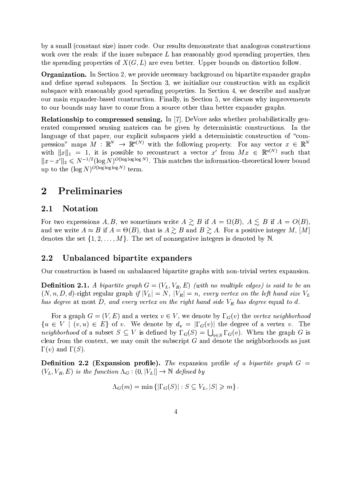by a small (constant size) inner code. Our results demonstrate that analogous constructions work over the reals: if the inner subspace  $L$  has reasonably good spreading properties, then the spreading properties of  $X(G, L)$  are even better. Upper bounds on distortion follow.

**Organization.** In Section 2, we provide necessary background on bipartite expander graphs and define spread subspaces. In Section 3, we initialize our construction with an explicit subspace with reasonably good spreading properties. In Section 4, we describe and analyze our main expander-based construction. Finally, in Section 5, we discuss why improvements to our bounds may have to come from a source other than better expander graphs.

**Relationship to compressed sensing.** In [7], DeVore asks whether probabilistically generated compressed sensing matrices can be given by deterministic constructions. In the language of that paper, our explicit subspaces yield a deterministic construction of "compression" maps  $M : \mathbb{R}^N \to \mathbb{R}^{o(N)}$  with the following property. For any vector  $x \in \mathbb{R}^N$ with  $||x||_1 = 1$ , it is possible to reconstruct a vector x' from  $Mx \in \mathbb{R}^{o(N)}$  such that  $||x-x'||_2 \leq N^{-1/2} (\log N)^{O(\log \log \log N)}$ . This matches the information-theoretical lower bound up to the  $(\log N)^{O(\log \log \log N)}$  term.

# Preliminaries  $\overline{2}$

#### **Notation**  $2.1$

For two expressions A, B, we sometimes write  $A \gtrsim B$  if  $A = \Omega(B)$ ,  $A \lesssim B$  if  $A = O(B)$ , and we write  $A \approx B$  if  $A = \Theta(B)$ , that is  $A \gtrsim B$  and  $B \gtrsim A$ . For a positive integer M, [M] denotes the set  $\{1, 2, ..., M\}$ . The set of nonnegative integers is denoted by N.

#### $2.2$ Unbalanced bipartite expanders

Our construction is based on unbalanced bipartite graphs with non-trivial vertex expansion.

**Definition 2.1.** A bipartite graph  $G = (V_L, V_R, E)$  (with no multiple edges) is said to be an  $(N, n, D, d)$ -right regular graph if  $|V_L| = N$ ,  $|V_R| = n$ , every vertex on the left hand size  $V_L$ has degree at most  $D$ , and every vertex on the right hand side  $V_R$  has degree equal to d.

For a graph  $G = (V, E)$  and a vertex  $v \in V$ , we denote by  $\Gamma_G(v)$  the vertex neighborhood  $\{u \in V \mid (v, u) \in E\}$  of v. We denote by  $d_v = |\Gamma_G(v)|$  the degree of a vertex v. The *neighborhood* of a subset  $S \subseteq V$  is defined by  $\Gamma_G(S) = \bigcup_{n \in S} \Gamma_G(v)$ . When the graph G is clear from the context, we may omit the subscript  $G$  and denote the neighborhoods as just  $\Gamma(v)$  and  $\Gamma(S)$ .

**Definition 2.2 (Expansion profile).** The expansion profile of a bipartite graph  $G =$  $(V_L, V_R, E)$  is the function  $\Lambda_G : (0, |V_L|] \to \mathbb{N}$  defined by

$$
\Lambda_G(m) = \min \left\{ |\Gamma_G(S)| : S \subseteq V_L, |S| \geqslant m \right\}.
$$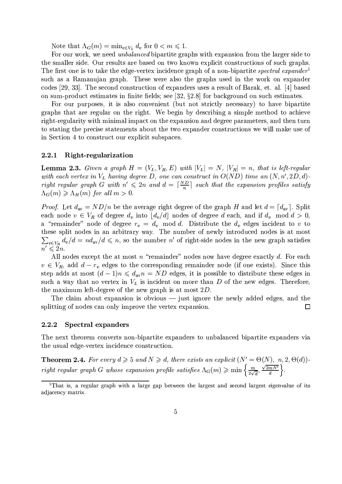Note that  $\Lambda_G(m) = \min_{v \in V_L} d_v$  for  $0 < m \leq 1$ .

For our work, we need *unbalanced* bipartite graphs with expansion from the larger side to the smaller side. Our results are based on two known explicit constructions of such graphs. The first one is to take the edge-vertex incidence graph of a non-bipartite spectral expander such as a Ramanujan graph. These were also the graphs used in the work on expander codes [29, 33]. The second construction of expanders uses a result of Barak, et. al. [4] based on sum-product estimates in finite fields; see [32,  $\S 2.8$ ] for background on such estimates.

For our purposes, it is also convenient (but not strictly necessary) to have bipartite graphs that are regular on the right. We begin by describing a simple method to achieve right-regularity with minimal impact on the expansion and degree parameters, and then turn to stating the precise statements about the two expander constructions we will make use of in Section 4 to construct our explicit subspaces.

#### Right-regularization 2.2.1

**Lemma 2.3.** Given a graph  $H = (V_L, V_R, E)$  with  $|V_L| = N$ ,  $|V_R| = n$ , that is left-regular with each vertex in  $V_L$  having degree D, one can construct in  $O(ND)$  time an  $(N, n', 2D, d)$ right regular graph G with  $n' \leq 2n$  and  $d = \lceil \frac{ND}{n} \rceil$  such that the expansion profiles satisfy  $\Lambda_G(m) \geq \Lambda_H(m)$  for all  $m > 0$ .

*Proof.* Let  $d_{av} = ND/n$  be the average right degree of the graph H and let  $d = [d_{av}]$ . Split each node  $v \in V_R$  of degree  $d_v$  into  $\lfloor d_v/d \rfloor$  nodes of degree d each, and if  $d_v$  mod  $d > 0$ , a "remainder" node of degree  $r_v = d_v \mod d$ . Distribute the  $d_v$  edges incident to v to these split nodes in an arbitrary way. The number of newly introduced nodes is at most  $\sum_{v \in V_R} d_v/d = nd_{av}/d \leq n$ , so the number n' of right-side nodes in the new graph satisfies  $n' \leqslant 2n$ .

All nodes except the at most  $n$  "remainder" nodes now have degree exactly  $d$ . For each  $v \in V_R$ , add  $d - r_v$  edges to the corresponding remainder node (if one exists). Since this step adds at most  $(d-1)n \leq d_{av}n = ND$  edges, it is possible to distribute these edges in such a way that no vertex in  $V_L$  is incident on more than D of the new edges. Therefore, the maximum left-degree of the new graph is at most  $2D$ .

The claim about expansion is obvious  $-$  just ignore the newly added edges, and the splitting of nodes can only improve the vertex expansion.  $\Box$ 

#### **Spectral expanders** 2.2.2

The next theorem converts non-bipartite expanders to unbalanced bipartite expanders via the usual edge-vertex incidence construction.

**Theorem 2.4.** For every  $d \ge 5$  and  $N \ge d$ , there exists an explicit  $(N' = \Theta(N), n, 2, \Theta(d))$ right regular graph G whose expansion profile satisfies  $\Lambda_G(m) \geqslant \min\left\{\frac{m}{2\sqrt{d}},\frac{\sqrt{2mN'}}{d}\right\}$ .

<sup>&</sup>lt;sup>1</sup>That is, a regular graph with a large gap between the largest and second largest eigenvalue of its adjacency matrix.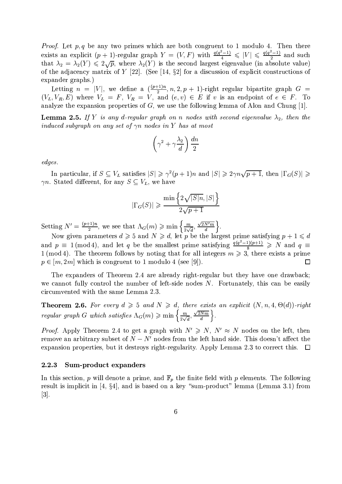*Proof.* Let  $p, q$  be any two primes which are both congruent to 1 modulo 4. Then there exists an explicit  $(p + 1)$ -regular graph  $Y = (V, F)$  with  $\frac{q(q^2-1)}{4} \leq |V| \leq \frac{q(q^2-1)}{2}$  and such that  $\lambda_2 = \lambda_2(Y) \leq 2\sqrt{p}$ , where  $\lambda_2(Y)$  is the second largest eigenvalue (in absolute value) of the adjacency matrix of  $Y$  [22]. (See [14, §2] for a discussion of explicit constructions of expander graphs.)

Letting  $n = |V|$ , we define a  $\left(\frac{(p+1)n}{2}, n, 2, p+1\right)$ -right regular bipartite graph  $G =$  $(V_L, V_R, E)$  where  $V_L = F$ ,  $V_R = V$ , and  $(e, v) \in E$  if v is an endpoint of  $e \in F$ . To analyze the expansion properties of  $G$ , we use the following lemma of Alon and Chung [1].

**Lemma 2.5.** If Y is any d-regular graph on n nodes with second eigenvalue  $\lambda_2$ , then the induced subgraph on any set of  $\gamma n$  nodes in Y has at most

$$
\left(\gamma^2 + \gamma \frac{\lambda_2}{d}\right) \frac{dn}{2}
$$

edges.

In particular, if  $S \subseteq V_L$  satisfies  $|S| \geq \gamma^2(p+1)n$  and  $|S| \geq 2\gamma n \sqrt{p+1}$ , then  $|\Gamma_G(S)| \geq$  $\gamma n$ . Stated different, for any  $S \subseteq V_L$ , we have

$$
\Gamma_G(S)| \geqslant \frac{\min\left\{2\sqrt{|S|n}, |S|\right\}}{2\sqrt{p+1}}
$$

Setting  $N' = \frac{(p+1)n}{2}$ , we see that  $\Lambda_G(m) \ge \min\left\{\frac{m}{2\sqrt{d}}, \frac{\sqrt{2N'm}}{d}\right\}$ .<br>Now given parameters  $d \ge 5$  and  $N \ge d$ , let p be the largest prime satisfying  $p+1 \le d$ 

and  $p \equiv 1 \pmod{4}$ , and let q be the smallest prime satisfying  $\frac{q(q^2-1)(p+1)}{8} \ge N$  and  $q \equiv$  $1 \pmod{4}$ . The theorem follows by noting that for all integers  $m \geq 3$ , there exists a prime  $p \in [m, 2m]$  which is congruent to 1 modulo 4 (see [9]).  $\Box$ 

The expanders of Theorem 2.4 are already right-regular but they have one drawback; we cannot fully control the number of left-side nodes N. Fortunately, this can be easily circumvented with the same Lemma 2.3.

**Theorem 2.6.** For every  $d \geq 5$  and  $N \geq d$ , there exists an explicit  $(N, n, 4, \Theta(d))$ -right regular graph G which satisfies  $\Lambda_G(m) \geqslant \min\left\{\frac{m}{2\sqrt{d}},\frac{\sqrt{2Nm}}{d}\right\}.$ 

*Proof.* Apply Theorem 2.4 to get a graph with  $N' \ge N$ ,  $N' \approx N$  nodes on the left, then remove an arbitrary subset of  $N - N'$  nodes from the left hand side. This doesn't affect the expansion properties, but it destroys right-regularity. Apply Lemma 2.3 to correct this.  $\Box$ 

#### 2.2.3 Sum-product expanders

In this section, p will denote a prime, and  $\mathbb{F}_p$  the finite field with p elements. The following result is implicit in [4,  $\S4$ ], and is based on a key "sum-product" lemma (Lemma 3.1) from  $|3|$ .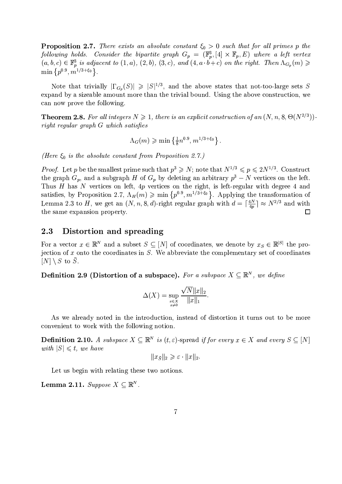**Proposition 2.7.** There exists an absolute constant  $\xi_0 > 0$  such that for all primes p the following holds. Consider the bipartite graph  $G_p = (\mathbb{F}_p^3, [4] \times \mathbb{F}_p, E)$  where a left vertex  $(a, b, c) \in \mathbb{F}_p^3$  is adjacent to  $(1, a)$ ,  $(2, b)$ ,  $(3, c)$ , and  $(4, a \cdot b + c)$  on the right. Then  $\Lambda_{G_p}(m) \geq$  min  $\{p^{0.9$ 

Note that trivially  $|\Gamma_{G_p}(S)| \geq |S|^{1/3}$ , and the above states that not-too-large sets S expand by a sizeable amount more than the trivial bound. Using the above construction, we can now prove the following.

**Theorem 2.8.** For all integers  $N \ge 1$ , there is an explicit construction of an  $(N, n, 8, \Theta(N^{2/3}))$ . right regular graph G which satisfies

$$
\Lambda_G(m) \geqslant \min\left\{\frac{1}{8}n^{0.9}, m^{1/3+\xi_0}\right\}
$$

(Here  $\xi_0$  is the absolute constant from Proposition 2.7.)

*Proof.* Let p be the smallest prime such that  $p^3 \ge N$ ; note that  $N^{1/3} \le p \le 2N^{1/3}$ . Construct the graph  $G_p$ , and a subgraph H of  $G_p$  by deleting an arbitrary  $p^3 - N$  vertices on the left. Thus  $H$  has  $N$  vertices on left,  $4p$  vertices on the right, is left-regular with degree 4 and satisfies, by Proposition 2.7,  $\Lambda_H(m) \geqslant \min\{p^{0.9}, m^{1/3+\xi_0}\}\$ . Applying the transformation of Lemma 2.3 to H, we get an  $(N, n, 8, d)$ -right regular graph with  $d = \lceil \frac{4N}{4p} \rceil \approx N^{2/3}$  and with the same expansion property. □

#### $2.3$ Distortion and spreading

For a vector  $x \in \mathbb{R}^N$  and a subset  $S \subseteq [N]$  of coordinates, we denote by  $x_S \in \mathbb{R}^{|S|}$  the projection of x onto the coordinates in S. We abbreviate the complementary set of coordinates  $[N] \setminus S$  to  $\overline{S}$ .

**Definition 2.9 (Distortion of a subspace).** For a subspace  $X \subseteq \mathbb{R}^N$ , we define

$$
\Delta(X) = \sup_{\substack{x \in X \\ x \neq 0}} \frac{\sqrt{N} \|x\|_2}{\|x\|_1}.
$$

As we already noted in the introduction, instead of distortion it turns out to be more convenient to work with the following notion.

**Definition 2.10.** A subspace  $X \subseteq \mathbb{R}^N$  is  $(t, \varepsilon)$ -spread if for every  $x \in X$  and every  $S \subseteq [N]$ with  $|S| \leq t$ , we have

$$
||x_{\bar{S}}||_2 \geqslant \varepsilon \cdot ||x||_2.
$$

Let us begin with relating these two notions.

**Lemma 2.11.** Suppose  $X \subseteq \mathbb{R}^N$ .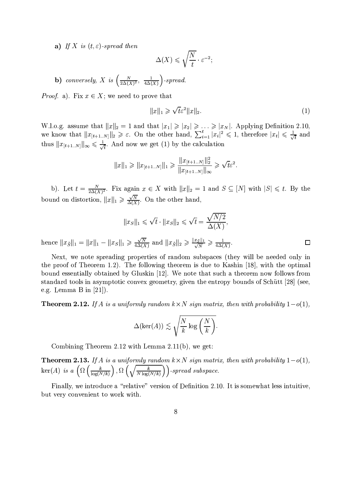a) If X is  $(t, \varepsilon)$ -spread then

$$
\Delta(X) \leqslant \sqrt{\frac{N}{t}} \cdot \varepsilon^{-2};
$$

**b**) conversely, X is  $\left(\frac{N}{2\Delta(X)^2}, \frac{1}{4\Delta(X)}\right)$ -spread.

*Proof.* a). Fix  $x \in X$ ; we need to prove that

$$
||x||_1 \geqslant \sqrt{t}\varepsilon^2 ||x||_2. \tag{1}
$$

 $\Box$ 

W.l.o.g. assume that  $||x||_2 = 1$  and that  $|x_1| \ge |x_2| \ge ... \ge |x_N|$ . Applying Definition 2.10, we know that  $||x_{[t+1..N]}||_2 \ge \varepsilon$ . On the other hand,  $\sum_{i=1}^t |x_i|^2 \le 1$ , therefore  $|x_t| \le \frac{1}{\sqrt{t}}$  and thus  $||x_{[t+1..N]}||_{\infty} \le \frac{1}{\sqrt{t}}$ . And now we get (1) by the calculation

$$
||x||_1 \ge ||x_{[t+1..N]}||_1 \ge \frac{||x_{[t+1..N]}||_2^2}{||x_{[t+1..N]}||_{\infty}} \ge \sqrt{t}\varepsilon^2.
$$

b). Let  $t = \frac{N}{2\Delta(X)^2}$ . Fix again  $x \in X$  with  $||x||_2 = 1$  and  $S \subseteq [N]$  with  $|S| \leq t$ . By the bound on distortion,  $||x||_1 \ge \frac{\sqrt{N}}{\Delta(X)}$ . On the other hand,

$$
||x_S||_1 \leqslant \sqrt{t} \cdot ||x_S||_2 \leqslant \sqrt{t} = \frac{\sqrt{N/2}}{\Delta(X)}
$$

hence  $||x_{\bar{S}}||_1 = ||x||_1 - ||x_{\bar{S}}||_1 \ge \frac{\sqrt{N}}{4\Delta(X)}$  and  $||x_{\bar{S}}||_2 \ge \frac{||x_{\bar{S}}||_1}{\sqrt{N}} \ge \frac{1}{4\Delta(X)}$ .

Next, we note spreading properties of random subspaces (they will be needed only in the proof of Theorem 1.2). The following theorem is due to Kashin [18], with the optimal bound essentially obtained by Gluskin [12]. We note that such a theorem now follows from standard tools in asymptotic convex geometry, given the entropy bounds of Schütt [28] (see, e.g. Lemma B in  $[21]$ ).

**Theorem 2.12.** If A is a uniformly random  $k \times N$  sign matrix, then with probability  $1-o(1)$ ,

$$
\Delta(\ker(A)) \lesssim \sqrt{\frac{N}{k} \log\left(\frac{N}{k}\right)}.
$$

Combining Theorem 2.12 with Lemma  $2.11(b)$ , we get:

**Theorem 2.13.** If A is a uniformly random  $k \times N$  sign matrix, then with probability  $1-o(1)$ ,  $\ker(A)$  is a  $\left(\Omega\left(\frac{k}{\log(N/k)}\right), \Omega\left(\sqrt{\frac{k}{N\log(N/k)}}\right)\right)$ -spread subspace.

Finally, we introduce a "relative" version of Definition 2.10. It is somewhat less intuitive, but very convenient to work with.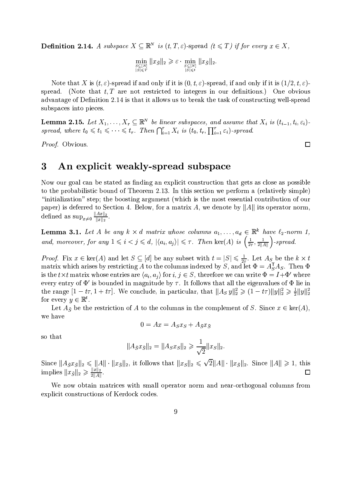**Definition 2.14.** A subspace  $X \subseteq \mathbb{R}^N$  is  $(t, T, \varepsilon)$ -spread  $(t \leq T)$  if for every  $x \in X$ ,

$$
\min_{\substack{S\subseteq[N]\\|S|\leqslant T}}\|x_{\bar{S}}\|_2\geqslant \varepsilon\cdot \min_{\substack{S\subseteq[N]\\|S|\leqslant t}}\|x_{\bar{S}}\|_2
$$

Note that X is  $(t, \varepsilon)$ -spread if and only if it is  $(0, t, \varepsilon)$ -spread, if and only if it is  $(1/2, t, \varepsilon)$ spread. (Note that  $t, T$  are not restricted to integers in our definitions.) One obvious advantage of Definition 2.14 is that it allows us to break the task of constructing well-spread subspaces into pieces.

**Lemma 2.15.** Let  $X_1, \ldots, X_r \subseteq \mathbb{R}^N$  be linear subspaces, and assume that  $X_i$  is  $(t_{i-1}, t_i, \varepsilon_i)$ . spread, where  $t_0 \leqslant t_1 \leqslant \cdots \leqslant t_r$ . Then  $\bigcap_{i=1}^r X_i$  is  $(t_0, t_r, \prod_{i=1}^r \varepsilon_i)$ -spread.

Proof. Obvious.

## $\bf{3}$ An explicit weakly-spread subspace

Now our goal can be stated as finding an explicit construction that gets as close as possible to the probabilistic bound of Theorem 2.13. In this section we perform a (relatively simple) "initialization" step; the boosting argument (which is the most essential contribution of our paper) is deferred to Section 4. Below, for a matrix A, we denote by  $||A||$  its operator norm, defined as  $\sup_{x\neq 0} \frac{||Ax||_2}{||x||_2}$ 

**Lemma 3.1.** Let A be any  $k \times d$  matrix whose columns  $a_1, \ldots, a_d \in \mathbb{R}^k$  have  $\ell_2$ -norm 1, and, moreover, for any  $1 \leq i \leq j \leq d$ ,  $|\langle a_i, a_j \rangle| \leq \tau$ . Then  $\ker(A)$  is  $\left(\frac{1}{2\tau}, \frac{1}{2||A||}\right)$ -spread.

*Proof.* Fix  $x \in \text{ker}(A)$  and let  $S \subseteq [d]$  be any subset with  $t = |S| \le \frac{1}{2\tau}$ . Let  $A_S$  be the  $k \times t$  matrix which arises by restricting A to the columns indexed by S, and let  $\Phi = A_S^T A_S$ . Then  $\Phi$ is the  $t \times t$  matrix whose entries are  $\langle a_i, a_j \rangle$  for  $i, j \in S$ , therefore we can write  $\Phi = I + \Phi'$  where every entry of  $\Phi'$  is bounded in magnitude by  $\tau$ . It follows that all the eigenvalues of  $\Phi$  lie in the range  $[1 - t\tau, 1 + t\tau]$ . We conclude, in particular, that  $||A_S y||_2^2 \geq (1 - t\tau)||y||_2^2 \geq \frac{1}{2}||y||_2^2$ for every  $y \in \mathbb{R}^t$ .

Let  $A_{\bar{S}}$  be the restriction of A to the columns in the complement of S. Since  $x \in \text{ker}(A)$ , we have

$$
0 = Ax = A_S x_S + A_{\bar{S}} x_{\bar{S}}
$$

so that

$$
||A_{\bar{S}}x_{\bar{S}}||_2 = ||A_Sx_S||_2 \geqslant \frac{1}{\sqrt{2}}||x_S||_2
$$

Since  $||A_{S}x_{S}||_{2} \le ||A|| \cdot ||x_{S}||_{2}$ , it follows that  $||x_{S}||_{2} \le \sqrt{2}||A|| \cdot ||x_{S}||_{2}$ . Since  $||A|| \ge 1$ , this implies  $||x_{S}||_{2} \ge \frac{||x||_{2}}{2||A||}$ .

We now obtain matrices with small operator norm and near-orthogonal columns from explicit constructions of Kerdock codes.

 $\Box$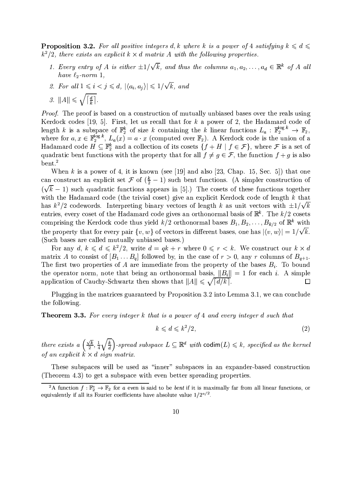**Proposition 3.2.** For all positive integers d, k where k is a power of 4 satisfying  $k \leq d \leq$  $k^2/2$ , there exists an explicit  $k \times d$  matrix A with the following properties.

- 1. Every entry of A is either  $\pm 1/\sqrt{k}$ , and thus the columns  $a_1, a_2, \ldots, a_d \in \mathbb{R}^k$  of A all have  $\ell_2$ -norm 1,
- 2. For all  $1 \leq i \leq j \leq d$ ,  $|\langle a_i, a_j \rangle| \leq 1/\sqrt{k}$ , and

$$
3. \|A\| \leqslant \sqrt{\left\lceil \frac{d}{k} \right\rceil}.
$$

*Proof.* The proof is based on a construction of mutually unbiased bases over the reals using Kerdock codes [19, 5]. First, let us recall that for  $k$  a power of 2, the Hadamard code of length k is a subspace of  $\mathbb{F}_2^k$  of size k containing the k linear functions  $L_a : \mathbb{F}_2^{\log k} \to \mathbb{F}_2$ , where for  $a, x \in \mathbb{F}_2^{\log k}$ ,  $L_a(x) = a \cdot x$  (computed over  $\mathbb{F}_2$ ). A Kerdock code is the union of a Hadamard code  $H \subseteq \mathbb{F}_2^k$  and a collection of its cosets  $\{f + H | f \in \mathcal{F}\}\$ , where  $\mathcal F$  is a set of quadratic bent functions with the property that for all  $f \neq g \in \mathcal{F}$ , the function  $f + g$  is also  $b$ ent.<sup>2</sup>

When k is a power of 4, it is known (see [19] and also [23, Chap. 15, Sec. 5]) that one can construct an explicit set  $\mathcal F$  of  $(\frac{k}{2}-1)$  such bent functions. (A simpler construction of  $(\sqrt{k}-1)$  such quadratic functions appears in [5].) The cosets of these functions together with the Hadamard code (the trivial coset) give an explicit Kerdock code of length k that has  $k^2/2$  codewords. Interpreting binary vectors of length k as unit vectors with  $\pm 1/\sqrt{k}$ entries, every coset of the Hadamard code gives an orthonormal basis of  $\mathbb{R}^k$ . The  $k/2$  cosets comprising the Kerdock code thus yield  $k/2$  orthonormal bases  $B_1, B_2, \ldots, B_{k/2}$  of  $\mathbb{R}^k$  with the property that for every pair  $\{v, w\}$  of vectors in different bases, one has  $|\langle v, w \rangle| = 1/\sqrt{k}$ . (Such bases are called mutually unbiased bases.)

For any d,  $k \leq d \leq k^2/2$ , write  $d = qk + r$  where  $0 \leq r \leq k$ . We construct our  $k \times d$ matrix A to consist of  $[B_1 \dots B_q]$  followed by, in the case of  $r > 0$ , any r columns of  $B_{q+1}$ . The first two properties of A are immediate from the property of the bases  $B_i$ . To bound the operator norm, note that being an orthonormal basis,  $||B_i|| = 1$  for each i. A simple application of Cauchy-Schwartz then shows that  $||A|| \leq \sqrt{d/k}$ .  $\Box$ 

Plugging in the matrices guaranteed by Proposition 3.2 into Lemma 3.1, we can conclude the following.

**Theorem 3.3.** For every integer k that is a power of 4 and every integer d such that

$$
k \leqslant d \leqslant k^2/2,\tag{2}
$$

there exists a  $\left(\frac{\sqrt{k}}{2},\frac{1}{4}\sqrt{\frac{k}{d}}\right)$ -spread subspace  $L \subseteq \mathbb{R}^d$  with  $\text{codim}(L) \leq k$ , specified as the kernel of an explicit  $k \times d$  sign matrix.

These subspaces will be used as "inner" subspaces in an expander-based construction (Theorem 4.3) to get a subspace with even better spreading properties.

<sup>&</sup>lt;sup>2</sup>A function  $f:\mathbb{F}_2^a \to \mathbb{F}_2$  for a even is said to be *bent* if it is maximally far from all linear functions, or equivalently if all its Fourier coefficients have absolute value  $1/2^{a/2}$ .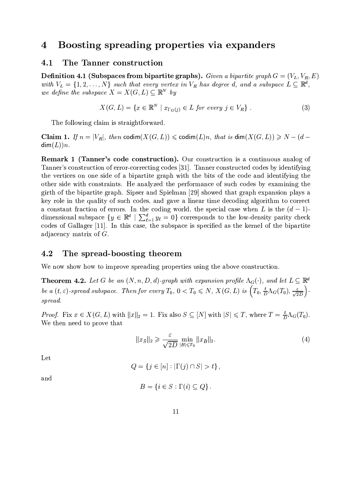# Boosting spreading properties via expanders  $\overline{4}$

#### 4.1 The Tanner construction

**Definition 4.1 (Subspaces from bipartite graphs).** Given a bipartite graph  $G = (V_L, V_R, E)$ with  $V_L = \{1, 2, ..., N\}$  such that every vertex in  $V_R$  has degree d, and a subspace  $L \subseteq \mathbb{R}^d$ , we define the subspace  $X = X(G, L) \subseteq \mathbb{R}^N$  by

$$
X(G, L) = \{ x \in \mathbb{R}^N \mid x_{\Gamma_G(j)} \in L \text{ for every } j \in V_R \} .
$$
 (3)

The following claim is straightforward.

**Claim 1.** If  $n = |V_R|$ , then codim $(X(G, L)) \leq \text{codim}(L)n$ , that is dim $(X(G, L)) \geq N - (d \dim(L))n$ .

**Remark 1 (Tanner's code construction).** Our construction is a continuous analog of Tanner's construction of error-correcting codes [31]. Tanner constructed codes by identifying the vertices on one side of a bipartite graph with the bits of the code and identifying the other side with constraints. He analyzed the performance of such codes by examining the girth of the bipartite graph. Sipser and Spielman [29] showed that graph expansion plays a key role in the quality of such codes, and gave a linear time decoding algorithm to correct a constant fraction of errors. In the coding world, the special case when L is the  $(d-1)$ dimensional subspace  $\{y \in \mathbb{R}^d \mid \sum_{\ell=1}^d y_\ell = 0\}$  corresponds to the low-density parity check codes of Gallager [11]. In this case, the subspace is specified as the kernel of the bipartite adjacency matrix of  $G$ .

#### 4.2 The spread-boosting theorem

We now show how to improve spreading properties using the above construction.

**Theorem 4.2.** Let G be an  $(N, n, D, d)$ -graph with expansion profile  $\Lambda_G(\cdot)$ , and let  $L \subseteq \mathbb{R}^d$ be a  $(t,\varepsilon)$ -spread subspace. Then for every  $T_0$ ,  $0 < T_0 \leqslant N$ ,  $X(G,L)$  is  $\left(T_0, \frac{t}{D}\Lambda_G(T_0), \frac{\varepsilon}{\sqrt{2D}}\right)$ spread.

*Proof.* Fix  $x \in X(G, L)$  with  $||x||_2 = 1$ . Fix also  $S \subseteq [N]$  with  $|S| \leq T$ , where  $T = \frac{t}{D} \Lambda_G(T_0)$ . We then need to prove that

$$
||x_{\bar{S}}||_2 \geqslant \frac{\varepsilon}{\sqrt{2D}} \min_{|B| \leqslant T_0} ||x_{\bar{B}}||_2. \tag{4}
$$

Let

$$
Q = \{ j \in [n] : |\Gamma(j) \cap S| > t \},\
$$

and

$$
B = \{ i \in S : \Gamma(i) \subseteq Q \}
$$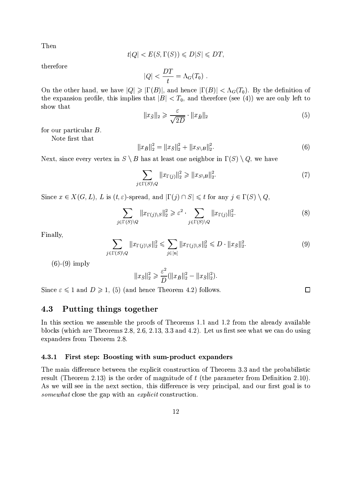Then

$$
t|Q| < E(S, \Gamma(S)) \leq D|S| \leq DT
$$

therefore

$$
|Q| < \frac{DT}{t} = \Lambda_G(T_0) \; .
$$

On the other hand, we have  $|Q| \ge |\Gamma(B)|$ , and hence  $|\Gamma(B)| < \Lambda_G(T_0)$ . By the definition of the expansion profile, this implies that  $|B| < T_0$ , and therefore (see (4)) we are only left to show that

$$
||x_{\bar{S}}||_2 \geqslant \frac{\varepsilon}{\sqrt{2D}} \cdot ||x_{\bar{B}}||_2 \tag{5}
$$

for our particular  $B$ .

Note first that

$$
||x_{\bar{B}}||_2^2 = ||x_{\bar{S}}||_2^2 + ||x_{S\setminus B}||_2^2.
$$
\n(6)

Next, since every vertex in  $S \setminus B$  has at least one neighbor in  $\Gamma(S) \setminus Q$ , we have

$$
\sum_{j \in \Gamma(S) \backslash Q} \|x_{\Gamma(j)}\|_{2}^{2} \ge \|x_{S \backslash B}\|_{2}^{2}.
$$
 (7)

Since  $x \in X(G, L)$ , L is  $(t, \varepsilon)$ -spread, and  $|\Gamma(j) \cap S| \leq t$  for any  $j \in \Gamma(S) \setminus Q$ ,

$$
\sum_{j \in \Gamma(S) \backslash Q} \|x_{\Gamma(j)\backslash S}\|_2^2 \geqslant \varepsilon^2 \cdot \sum_{j \in \Gamma(S) \backslash Q} \|x_{\Gamma(j)}\|_2^2. \tag{8}
$$

Finally.

$$
\sum_{j \in \Gamma(S) \backslash Q} \|x_{\Gamma(j)\backslash S}\|_2^2 \leq \sum_{j \in [n]} \|x_{\Gamma(j)\backslash S}\|_2^2 \leq D \cdot \|x_{\overline{S}}\|_2^2. \tag{9}
$$

 $(6)-(9)$  imply

$$
||x_{\bar{S}}||_2^2 \geqslant \frac{\varepsilon^2}{D} (||x_{\bar{B}}||_2^2 - ||x_{\bar{S}}||_2^2).
$$

Since  $\varepsilon \leq 1$  and  $D \geq 1$ , (5) (and hence Theorem 4.2) follows.

## Putting things together 4.3

In this section we assemble the proofs of Theorems 1.1 and 1.2 from the already available blocks (which are Theorems 2.8, 2.6, 2.13, 3.3 and 4.2). Let us first see what we can do using expanders from Theorem 2.8.

#### First step: Boosting with sum-product expanders 4.3.1

The main difference between the explicit construction of Theorem 3.3 and the probabilistic result (Theorem 2.13) is the order of magnitude of  $t$  (the parameter from Definition 2.10). As we will see in the next section, this difference is very principal, and our first goal is to *somewhat* close the gap with an *explicit* construction.

 $\Box$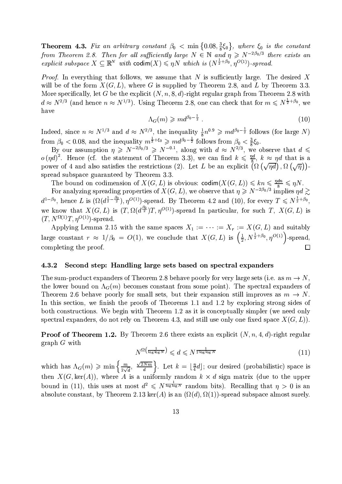**Theorem 4.3.** Fix an arbitrary constant  $\beta_0 < \min\{0.08, \frac{3}{8}\xi_0\}$ , where  $\xi_0$  is the constant from Theorem 2.8. Then for all sufficiently large  $N \in \mathbb{N}$  and  $\eta \ge N^{-2\beta_0/3}$  there exists an explicit subspace  $X \subseteq \mathbb{R}^N$  with codim $(X) \leq \eta N$  which is  $(N^{\frac{1}{2}+\beta_0}, \eta^{O(1)})$ -spread.

*Proof.* In everything that follows, we assume that N is sufficiently large. The desired X will be of the form  $X(G, L)$ , where G is supplied by Theorem 2.8, and L by Theorem 3.3. More specifically, let G be the explicit  $(N, n, 8, d)$ -right regular graph from Theorem 2.8 with  $d \approx N^{2/3}$  (and hence  $n \approx N^{1/3}$ ). Using Theorem 2.8, one can check that for  $m \leq N^{\frac{1}{2}+\beta_0}$ , we have

$$
\Lambda_G(m) \geqslant m d^{\beta_0 - \frac{1}{2}} \tag{10}
$$

Indeed, since  $n \approx N^{1/3}$  and  $d \approx N^{2/3}$ , the inequality  $\frac{1}{8}n^{0.9} \geqslant md^{\beta_0-\frac{1}{2}}$  follows (for large N) from  $\beta_0 < 0.08$ , and the inequality  $m^{\frac{1}{3}+\xi_0} \geq m d^{\beta_0-\frac{1}{2}}$  follows from  $\beta_0 < \frac{3}{8}\xi_0$ .<br>By our assumption  $\eta \geq N^{-2\beta_0/3} \geq N^{-0.1}$ , along with  $d \approx N^{2/3}$ , we observe that  $d \leq$ 

 $o(\eta d)^2$ . Hence (cf. the statement of Theorem 3.3), we can find  $k \leq \frac{\eta d}{s}$ ,  $k \approx \eta d$  that is a power of 4 and also satisfies the restrictions (2). Let L be an explicit  $(\Omega(\sqrt{nd}), \Omega(\sqrt{n}))$ . spread subspace guaranteed by Theorem 3.3.

The bound on codimension of  $X(G, L)$  is obvious: codim $(X(G, L)) \leq k n \leq \frac{\eta d n}{8} \leq \eta N$ .<br>For analyzing spreading properties of  $X(G, L)$ , we observe that  $\eta \geq N^{-2\beta_0/3}$  implies  $\eta d \gtrsim$  $d^{1-\beta_0}$ , hence L is  $(\Omega(d^{\frac{1}{2}-\frac{\beta_0}{2}}), \eta^{O(1)})$ -spread. By Theorem 4.2 and (10), for every  $T \leq N^{\frac{1}{2}+\beta_0}$ , we know that  $X(G, L)$  is  $(T, \Omega(d^{\frac{\beta_0}{2}})T, \eta^{O(1)})$ -spread In particular, for such T,  $X(G, L)$  is  $(T, N^{\Omega(1)}T, \eta^{O(1)})$ -spread.

Applying Lemma 2.15 with the same spaces  $X_1 := \cdots := X_r := X(G, L)$  and suitably large constant  $r \approx 1/\beta_0 = O(1)$ , we conclude that  $X(G, L)$  is  $\left(\frac{1}{2}, N^{\frac{1}{2}+\beta_0}, \eta^{O(1)}\right)$ -spread, completing the proof.  $\Box$ 

#### Second step: Handling large sets based on spectral expanders 4.3.2

The sum-product expanders of Theorem 2.8 behave poorly for very large sets (i.e. as  $m \to N$ , the lower bound on  $\Lambda_G(m)$  becomes constant from some point). The spectral expanders of Theorem 2.6 behave poorly for small sets, but their expansion still improves as  $m \to N$ . In this section, we finish the proofs of Theorems 1.1 and 1.2 by exploring strong sides of both constructions. We begin with Theorem 1.2 as it is conceptually simpler (we need only spectral expanders, do not rely on Theorem 4.3, and still use only one fixed space  $X(G, L)$ .

**Proof of Theorem 1.2.** By Theorem 2.6 there exists an explicit  $(N, n, 4, d)$ -right regular  $graph G with$ 

$$
N^{\Omega\left(\frac{1}{\log\log N}\right)} \leqslant d \leqslant N^{\frac{1}{2\log\log N}}\tag{11}
$$

which has  $\Lambda_G(m) \geq \min\left\{\frac{m}{2\sqrt{d}}, \frac{\sqrt{2Nm}}{d}\right\}$ . Let  $k = \lfloor \frac{n}{4}d \rfloor$ ; our desired (probabilistic) space is then  $X(G,\ker(A))$ , where A is a uniformly random  $k \times d$  sign matrix (due to the upper bound in (11), this uses at most  $d^2 \leq N^{\frac{1}{\log \log N}}$  random bits). Recalling that  $\eta > 0$  is an absolute constant, by Theorem 2.13 ker(A) is an  $(\Omega(d), \Omega(1))$ -spread subspace almost surely.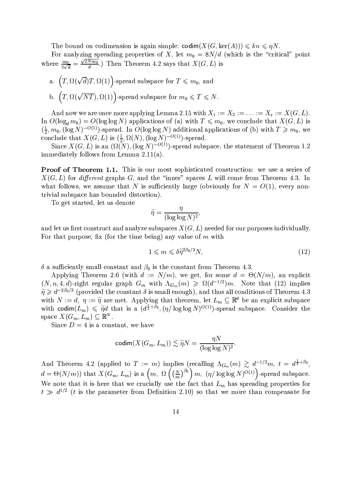The bound on codimension is again simple:  $\operatorname{codim}(X(G,\ker(A))) \leq k n \leq \eta N$ .

For analyzing spreading properties of X, let  $m_0 = 8N/d$  (which is the "critical" point where  $\frac{m_0}{2\sqrt{d}} = \frac{\sqrt{2Nm_0}}{d}$ .) Then Theorem 4.2 says that  $X(G, L)$  is

a.  $(T, \Omega(\sqrt{d})T, \Omega(1))$ -spread subspace for  $T \leq m_0$ , and b.  $(T, \Omega(\sqrt{NT}), \Omega(1))$ -spread subspace for  $m_0 \leq T \leq N$ .

And now we are once more applying Lemma 2.15 with  $X_1 := X_2 := \ldots := X_r := X(G, L)$ . In  $O(\log_d m_0) = O(\log \log N)$  applications of (a) with  $T \leq m_0$ , we conclude that  $X(G, L)$  is  $(\frac{1}{2}, m_0, (\log N)^{-O(1)})$ -spread. In  $O(\log \log N)$  additional applications of (b) with  $T \ge m_0$ , we conclude that  $X(G, L)$  is  $(\frac{1}{2}, \Omega(N), (\log N)^{-O(1)})$ -spread.<br>Since  $X(G, L)$  is an  $(\Omega(N), (\log N)^{-O(1)})$ -spread subspace, the statement of Th

immediately follows from Lemma  $2.11(a)$ .

**Proof of Theorem 1.1.** This is our most sophisticated construction: we use a series of  $X(G, L)$  for *different* graphs G, and the "inner" spaces L will come from Theorem 4.3. In what follows, we assume that N is sufficiently large (obviously for  $N = O(1)$ , every nontrivial subspace has bounded distortion).

To get started, let us denote

$$
\widetilde{\eta} = \frac{\eta}{(\log \log N)^2},
$$

and let us first construct and analyze subspaces  $X(G, L)$  needed for our purposes individually. For that purpose, fix (for the time being) any value of m with

$$
1 \leqslant m \leqslant \delta \tilde{\eta}^{2\beta_0/3} N,\tag{12}
$$

 $\delta$  a sufficiently small constant and  $\beta_0$  is the constant from Theorem 4.3.

Applying Theorem 2.6 (with  $d := N/m$ ), we get, for some  $d = \Theta(N/m)$ , an explicit  $(N, n, 4, d)$ -right regular graph  $G_m$  with  $\Lambda_{G_m}(m) \geq \Omega(d^{-1/2})m$ . Note that (12) implies  $\widetilde{\eta} \geq d^{-2\beta_0/3}$  (provided the constant  $\delta$  is small enough), and thus all conditions of Theorem 4.3 with  $N := d$ ,  $\eta := \tilde{\eta}$  are met. Applying that theorem, let  $L_m \subseteq \mathbb{R}^d$  be an explicit subspace with codim $(L_m) \leq \tilde{\eta}d$  that is a  $(d^{\frac{1}{2}+\beta_0}, (\eta/\log\log N)^{O(1)})$ -spread subspace. Consider the space  $X(G_m, L_m) \subseteq \mathbb{R}^N$ .

Since  $D=4$  is a constant, we have

$$
\operatorname{codim}(X(G_m, L_m)) \lesssim \widetilde{\eta} N = \frac{\eta N}{(\log \log N)^2}.
$$

And Theorem 4.2 (applied to  $T := m$ ) implies (recalling  $\Lambda_{G_m}(m) \gtrsim d^{-1/2}m$ ,  $t = d^{\frac{1}{2}+\beta_0}$ ,  $d = \Theta(N/m)$ ) that  $X(G_m, L_m)$  is a  $\left(m, \Omega\left(\left(\frac{N}{m}\right)^{\beta_0}\right)m, (\eta/\log\log N)^{O(1)}\right)$ -spread subspace.<br>We note that it is here that w  $t \gg d^{1/2}$  (t is the parameter from Definition 2.10) so that we more than compensate for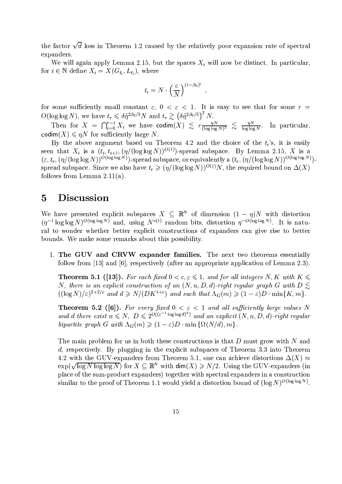the factor  $\sqrt{d}$  loss in Theorem 1.2 caused by the relatively poor expansion rate of spectral expanders.

We will again apply Lemma 2.15, but the spaces  $X_i$  will now be distinct. In particular, for  $i \in \mathbb{N}$  define  $X_i = X(G_{t_i}, L_{t_i})$ , where

$$
t_i = N \cdot \left(\frac{\varepsilon}{N}\right)^{(1-\beta_0)^i}
$$

for some sufficiently small constant  $\varepsilon$ ,  $0 < \varepsilon < 1$ . It is easy to see that for some  $r =$ 

 $O(\log \log N)$ , we have  $t_r \leq \delta \tilde{\eta}^{2\beta_0/3} N$  and  $t_r \geq (\delta \tilde{\eta}^{2\beta_0/3})^2 N$ .<br>Then for  $X = \bigcap_{i=0}^{r-1} X_i$  we have  $\text{codim}(X) \leq r \frac{\eta N}{(\log \log N)^2} \leq \frac{\eta N}{\log \log N}$ . In particular, codim $(X) \leq nN$  for sufficiently large N.

By the above argument based on Theorem 4.2 and the choice of the  $t_i$ 's, it is easily seen that  $X_i$  is a  $(t_i, t_{i+1}, (\eta/(\log \log N))^{O(1)})$ -spread subspace. By Lemma 2.15, X is a  $(\varepsilon, t_r, (\eta/(\log \log N))^{O(\log \log N)})$ -spread subspace, or equivalently a  $(t_r, (\eta/(\log \log N))^{O(\log \log N)})$ spread subspace. Since we also have  $t_r \geq (\eta/(\log \log N))^{O(1)}N$ , the required bound on  $\Delta(X)$ follows from Lemma  $2.11(a)$ .

## $\overline{5}$ **Discussion**

We have presented explicit subspaces  $X \subseteq \mathbb{R}^N$  of dimension  $(1 - \eta)N$  with distortion  $(\eta^{-1} \log \log N)^{O(\log \log N)}$  and, using  $N^{o(1)}$  random bits, distortion  $\eta^{-O(\log \log N)}$ . It is natural to wonder whether better explicit constructions of expanders can give rise to better bounds. We make some remarks about this possibility.

1. The GUV and CRVW expander families. The next two theorems essentially follow from [13] and [6], respectively (after an appropriate application of Lemma 2.3).

**Theorem 5.1 ([13]).** For each fixed  $0 < c, \varepsilon \leq 1$ , and for all integers N, K with  $K \leq$ N, there is an explicit construction of an  $(N, n, D, d)$ -right regular graph G with  $D \leq$  $((\log N)/\varepsilon)^{2+2/c}$  and  $d \ge N/(DK^{1+c})$  and such that  $\Lambda_G(m) \ge (1-\varepsilon)D \cdot \min\{K,m\}.$ 

**Theorem 5.2** ([6]). For every fixed  $0 < \varepsilon < 1$  and all sufficiently large values N and d there exist  $n \le N$ ,  $D \le 2^{O((\varepsilon^{-1} \log \log d)^3)}$  and an explicit  $(N, n, D, d)$ -right regular bipartite graph G with  $\Lambda_G(m) \geqslant (1-\varepsilon)D \cdot \min\{\Omega(N/d), m\}.$ 

The main problem for us in both these constructions is that  $D$  must grow with  $N$  and d, respectively. By plugging in the explicit subspaces of Theorem 3.3 into Theorem 4.2 with the GUV-expanders from Theorem 5.1, one can achieve distortions  $\Delta(X) \approx$  $\exp(\sqrt{\log N \log \log N})$  for  $X \subseteq \mathbb{R}^N$  with  $\dim(X) \ge N/2$ . Using the GUV-expanders (in place of the sum-product expanders) together with spectral expanders in a construction similar to the proof of Theorem 1.1 would yield a distortion bound of  $(\log N)^{O(\log \log N)}$ .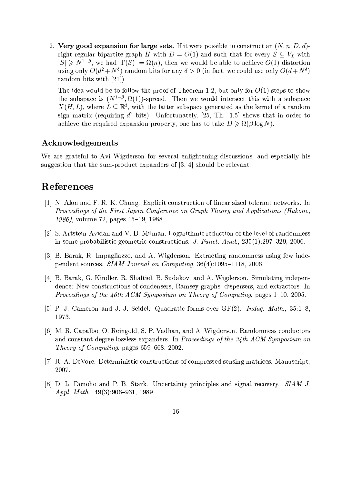2. Very good expansion for large sets. If it were possible to construct an  $(N, n, D, d)$ right regular bipartite graph H with  $D = O(1)$  and such that for every  $S \subseteq V_L$  with  $|S| \geq N^{1-\beta}$ , we had  $|\Gamma(S)| = \Omega(n)$ , then we would be able to achieve  $O(1)$  distortion using only  $O(d^2 + N^{\delta})$  random bits for any  $\delta > 0$  (in fact, we could use only  $O(d + N^{\delta})$ random bits with  $[21]$ .

The idea would be to follow the proof of Theorem 1.2, but only for  $O(1)$  steps to show the subspace is  $(N^{1-\beta}, \Omega(1))$ -spread. Then we would intersect this with a subspace  $X(H, L)$ , where  $L \subseteq \mathbb{R}^d$ , with the latter subspace generated as the kernel of a random sign matrix (requiring  $d^2$  bits). Unfortunately, [25, Th. 1.5] shows that in order to achieve the required expansion property, one has to take  $D \ge \Omega(\beta \log N)$ .

# Acknowledgements

We are grateful to Avi Wigderson for several enlightening discussions, and especially his suggestion that the sum-product expanders of  $[3, 4]$  should be relevant.

# References

- [1] N. Alon and F. R. K. Chung. Explicit construction of linear sized tolerant networks. In Proceedings of the First Japan Conference on Graph Theory and Applications (Hakone, 1986), volume 72, pages 15-19, 1988.
- [2] S. Artstein-Avidan and V. D. Milman. Logarithmic reduction of the level of randomness in some probabilistic geometric constructions. J. Funct. Anal., 235(1):297-329, 2006.
- [3] B. Barak, R. Impagliazzo, and A. Wigderson. Extracting randomness using few independent sources. SIAM Journal on Computing, 36(4):1095-1118, 2006.
- [4] B. Barak, G. Kindler, R. Shaltiel, B. Sudakov, and A. Wigderson. Simulating independence: New constructions of condensers, Ramsey graphs, dispersers, and extractors. In *Proceedings of the 46th ACM Symposium on Theory of Computing, pages 1–10, 2005.*
- [5] P. J. Cameron and J. J. Seidel. Quadratic forms over  $GF(2)$ . *Indag. Math.*, 35:1–8, 1973.
- [6] M. R. Capalbo, O. Reingold, S. P. Vadhan, and A. Wigderson. Randomness conductors and constant-degree lossless expanders. In Proceedings of the 34th ACM Symposium on *Theory of Computing*, pages 659–668, 2002.
- [7] R. A. DeVore, Deterministic constructions of compressed sensing matrices. Manuscript. 2007.
- [8] D. L. Donoho and P. B. Stark. Uncertainty principles and signal recovery. SIAM J. Appl. Math.,  $49(3):906-931$ , 1989.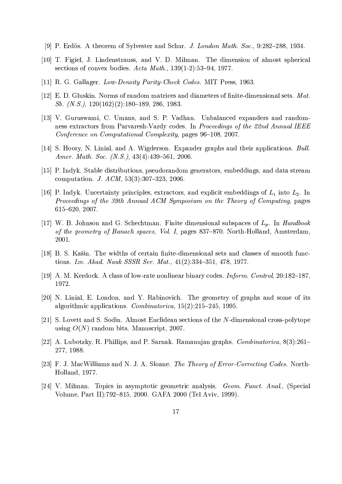- [9] P. Erdös. A theorem of Sylvester and Schur. J. London Math. Soc., 9:282–288, 1934.
- [10] T. Figiel, J. Lindenstrauss, and V. D. Milman. The dimension of almost spherical sections of convex bodies. Acta Math.,  $139(1-2):53-94$ , 1977.
- [11] R. G. Gallager. Low-Density Parity-Check Codes. MIT Press, 1963.
- [12] E. D. Gluskin. Norms of random matrices and diameters of finite-dimensional sets. Mat. Sb.  $(N.S.), 120(162)(2):180-189, 286, 1983.$
- [13] V. Guruswami, C. Umans, and S. P. Vadhan. Unbalanced expanders and randomness extractors from Parvaresh-Vardy codes. In Proceedings of the 22nd Annual IEEE Conference on Computational Complexity, pages 96-108, 2007.
- [14] S. Hoory, N. Linial, and A. Wigderson. Expander graphs and their applications. Bull. Amer. Math. Soc. (N.S.),  $43(4):439-561$ , 2006.
- [15] P. Indyk. Stable distributions, pseudorandom generators, embeddings, and data stream computation. J. ACM, 53(3):307-323, 2006.
- [16] P. Indyk. Uncertainty principles, extractors, and explicit embeddings of  $L_1$  into  $L_2$ . In Proceedings of the 39th Annual ACM Symposium on the Theory of Computing, pages 615-620, 2007.
- [17] W. B. Johnson and G. Schechtman. Finite dimensional subspaces of  $L_p$ . In Handbook of the geometry of Banach spaces, Vol. I, pages 837–870. North-Holland, Amsterdam, 2001.
- [18] B. S. Kašin. The widths of certain finite-dimensional sets and classes of smooth functions. Izv. Akad. Nauk SSSR Ser. Mat., 41(2):334-351, 478, 1977.
- [19] A. M. Kerdock. A class of low-rate nonlinear binary codes. *Inform. Control*, 20:182–187. 1972.
- [20] N. Linial, E. London, and Y. Rabinovich. The geometry of graphs and some of its algorithmic applications. Combinatorica,  $15(2):215-245$ , 1995.
- [21] S. Lovett and S. Sodin. Almost Euclidean sections of the N-dimensional cross-polytope using  $O(N)$  random bits. Manuscript, 2007.
- [22] A. Lubotzky, R. Phillips, and P. Sarnak. Ramanujan graphs. Combinatorica, 8(3):261– 277, 1988.
- [23] F. J. MacWilliams and N. J. A. Sloane. The Theory of Error-Correcting Codes. North-Holland, 1977.
- [24] V. Milman. Topics in asymptotic geometric analysis. Geom. Funct. Anal., (Special Volume, Part II):792-815, 2000. GAFA 2000 (Tel Aviv, 1999).